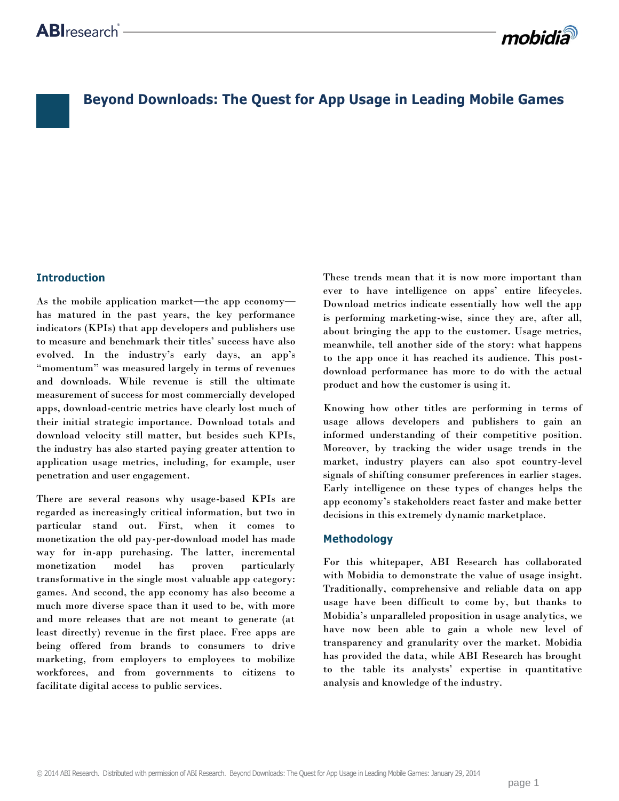# **Beyond Downloads: The Quest for App Usage in Leading Mobile Games**

## **Introduction**

As the mobile application market—the app economy has matured in the past years, the key performance indicators (KPIs) that app developers and publishers use to measure and benchmark their titles' success have also evolved. In the industry's early days, an app's "momentum" was measured largely in terms of revenues and downloads. While revenue is still the ultimate measurement of success for most commercially developed apps, download-centric metrics have clearly lost much of their initial strategic importance. Download totals and download velocity still matter, but besides such KPIs, the industry has also started paying greater attention to application usage metrics, including, for example, user penetration and user engagement.

There are several reasons why usage-based KPIs are regarded as increasingly critical information, but two in particular stand out. First, when it comes to monetization the old pay-per-download model has made way for in-app purchasing. The latter, incremental monetization model has proven particularly transformative in the single most valuable app category: games. And second, the app economy has also become a much more diverse space than it used to be, with more and more releases that are not meant to generate (at least directly) revenue in the first place. Free apps are being offered from brands to consumers to drive marketing, from employers to employees to mobilize workforces, and from governments to citizens to facilitate digital access to public services.

These trends mean that it is now more important than ever to have intelligence on apps' entire lifecycles. Download metrics indicate essentially how well the app is performing marketing-wise, since they are, after all, about bringing the app to the customer. Usage metrics, meanwhile, tell another side of the story: what happens to the app once it has reached its audience. This postdownload performance has more to do with the actual product and how the customer is using it.

mobidia

Knowing how other titles are performing in terms of usage allows developers and publishers to gain an informed understanding of their competitive position. Moreover, by tracking the wider usage trends in the market, industry players can also spot country-level signals of shifting consumer preferences in earlier stages. Early intelligence on these types of changes helps the app economy's stakeholders react faster and make better decisions in this extremely dynamic marketplace.

#### **Methodology**

For this whitepaper, ABI Research has collaborated with Mobidia to demonstrate the value of usage insight. Traditionally, comprehensive and reliable data on app usage have been difficult to come by, but thanks to Mobidia's unparalleled proposition in usage analytics, we have now been able to gain a whole new level of transparency and granularity over the market. Mobidia has provided the data, while ABI Research has brought to the table its analysts' expertise in quantitative analysis and knowledge of the industry.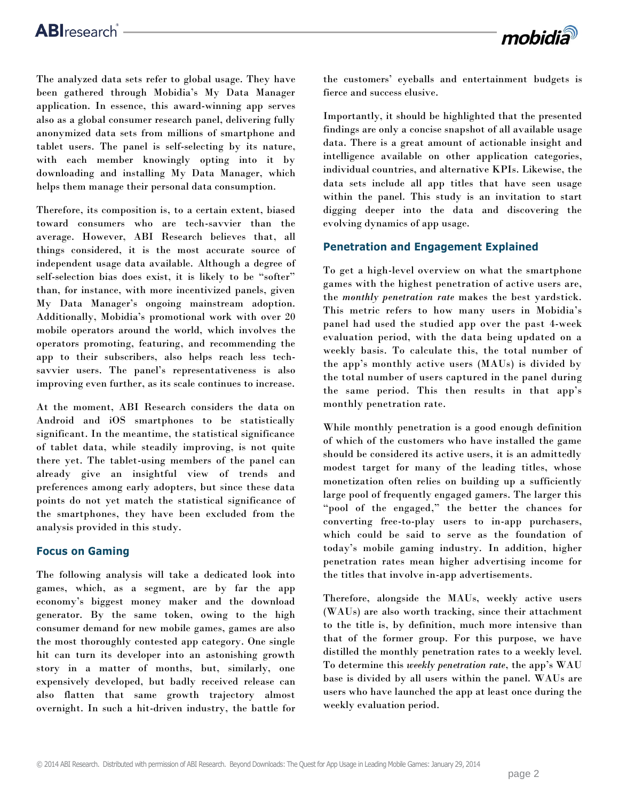

The analyzed data sets refer to global usage. They have been gathered through Mobidia's My Data Manager application. In essence, this award-winning app serves also as a global consumer research panel, delivering fully anonymized data sets from millions of smartphone and tablet users. The panel is self-selecting by its nature, with each member knowingly opting into it by downloading and installing My Data Manager, which helps them manage their personal data consumption.

Therefore, its composition is, to a certain extent, biased toward consumers who are tech-savvier than the average. However, ABI Research believes that, all things considered, it is the most accurate source of independent usage data available. Although a degree of self-selection bias does exist, it is likely to be "softer" than, for instance, with more incentivized panels, given My Data Manager's ongoing mainstream adoption. Additionally, Mobidia's promotional work with over 20 mobile operators around the world, which involves the operators promoting, featuring, and recommending the app to their subscribers, also helps reach less techsavvier users. The panel's representativeness is also improving even further, as its scale continues to increase.

At the moment, ABI Research considers the data on Android and iOS smartphones to be statistically significant. In the meantime, the statistical significance of tablet data, while steadily improving, is not quite there yet. The tablet-using members of the panel can already give an insightful view of trends and preferences among early adopters, but since these data points do not yet match the statistical significance of the smartphones, they have been excluded from the analysis provided in this study.

## **Focus on Gaming**

The following analysis will take a dedicated look into games, which, as a segment, are by far the app economy's biggest money maker and the download generator. By the same token, owing to the high consumer demand for new mobile games, games are also the most thoroughly contested app category. One single hit can turn its developer into an astonishing growth story in a matter of months, but, similarly, one expensively developed, but badly received release can also flatten that same growth trajectory almost overnight. In such a hit-driven industry, the battle for

the customers' eyeballs and entertainment budgets is fierce and success elusive.

Importantly, it should be highlighted that the presented findings are only a concise snapshot of all available usage data. There is a great amount of actionable insight and intelligence available on other application categories, individual countries, and alternative KPIs. Likewise, the data sets include all app titles that have seen usage within the panel. This study is an invitation to start digging deeper into the data and discovering the evolving dynamics of app usage.

### **Penetration and Engagement Explained**

To get a high-level overview on what the smartphone games with the highest penetration of active users are, the *monthly penetration rate* makes the best yardstick. This metric refers to how many users in Mobidia's panel had used the studied app over the past 4-week evaluation period, with the data being updated on a weekly basis. To calculate this, the total number of the app's monthly active users (MAUs) is divided by the total number of users captured in the panel during the same period. This then results in that app's monthly penetration rate.

While monthly penetration is a good enough definition of which of the customers who have installed the game should be considered its active users, it is an admittedly modest target for many of the leading titles, whose monetization often relies on building up a sufficiently large pool of frequently engaged gamers. The larger this "pool of the engaged," the better the chances for converting free-to-play users to in-app purchasers, which could be said to serve as the foundation of today's mobile gaming industry. In addition, higher penetration rates mean higher advertising income for the titles that involve in-app advertisements.

Therefore, alongside the MAUs, weekly active users (WAUs) are also worth tracking, since their attachment to the title is, by definition, much more intensive than that of the former group. For this purpose, we have distilled the monthly penetration rates to a weekly level. To determine this *weekly penetration rate*, the app's WAU base is divided by all users within the panel. WAUs are users who have launched the app at least once during the weekly evaluation period.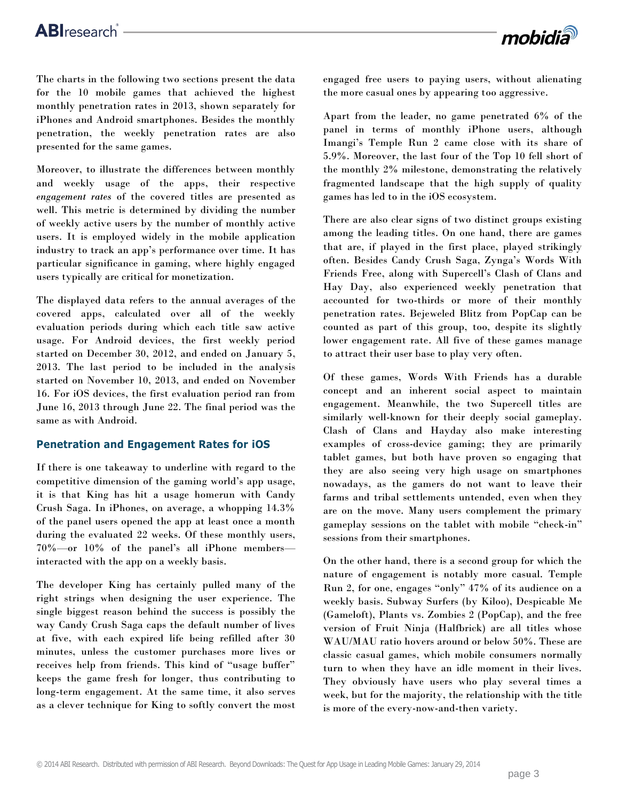

The charts in the following two sections present the data for the 10 mobile games that achieved the highest monthly penetration rates in 2013, shown separately for iPhones and Android smartphones. Besides the monthly penetration, the weekly penetration rates are also presented for the same games.

Moreover, to illustrate the differences between monthly and weekly usage of the apps, their respective *engagement rates* of the covered titles are presented as well. This metric is determined by dividing the number of weekly active users by the number of monthly active users. It is employed widely in the mobile application industry to track an app's performance over time. It has particular significance in gaming, where highly engaged users typically are critical for monetization.

The displayed data refers to the annual averages of the covered apps, calculated over all of the weekly evaluation periods during which each title saw active usage. For Android devices, the first weekly period started on December 30, 2012, and ended on January 5, 2013. The last period to be included in the analysis started on November 10, 2013, and ended on November 16. For iOS devices, the first evaluation period ran from June 16, 2013 through June 22. The final period was the same as with Android.

### **Penetration and Engagement Rates for iOS**

If there is one takeaway to underline with regard to the competitive dimension of the gaming world's app usage, it is that King has hit a usage homerun with Candy Crush Saga. In iPhones, on average, a whopping 14.3% of the panel users opened the app at least once a month during the evaluated 22 weeks. Of these monthly users, 70%—or 10% of the panel's all iPhone members interacted with the app on a weekly basis.

The developer King has certainly pulled many of the right strings when designing the user experience. The single biggest reason behind the success is possibly the way Candy Crush Saga caps the default number of lives at five, with each expired life being refilled after 30 minutes, unless the customer purchases more lives or receives help from friends. This kind of "usage buffer" keeps the game fresh for longer, thus contributing to long-term engagement. At the same time, it also serves as a clever technique for King to softly convert the most

engaged free users to paying users, without alienating the more casual ones by appearing too aggressive.

Apart from the leader, no game penetrated 6% of the panel in terms of monthly iPhone users, although Imangi's Temple Run 2 came close with its share of 5.9%. Moreover, the last four of the Top 10 fell short of the monthly 2% milestone, demonstrating the relatively fragmented landscape that the high supply of quality games has led to in the iOS ecosystem.

There are also clear signs of two distinct groups existing among the leading titles. On one hand, there are games that are, if played in the first place, played strikingly often. Besides Candy Crush Saga, Zynga's Words With Friends Free, along with Supercell's Clash of Clans and Hay Day, also experienced weekly penetration that accounted for two-thirds or more of their monthly penetration rates. Bejeweled Blitz from PopCap can be counted as part of this group, too, despite its slightly lower engagement rate. All five of these games manage to attract their user base to play very often.

Of these games, Words With Friends has a durable concept and an inherent social aspect to maintain engagement. Meanwhile, the two Supercell titles are similarly well-known for their deeply social gameplay. Clash of Clans and Hayday also make interesting examples of cross-device gaming; they are primarily tablet games, but both have proven so engaging that they are also seeing very high usage on smartphones nowadays, as the gamers do not want to leave their farms and tribal settlements untended, even when they are on the move. Many users complement the primary gameplay sessions on the tablet with mobile "check-in" sessions from their smartphones.

On the other hand, there is a second group for which the nature of engagement is notably more casual. Temple Run 2, for one, engages "only" 47% of its audience on a weekly basis. Subway Surfers (by Kiloo), Despicable Me (Gameloft), Plants vs. Zombies 2 (PopCap), and the free version of Fruit Ninja (Halfbrick) are all titles whose WAU/MAU ratio hovers around or below 50%. These are classic casual games, which mobile consumers normally turn to when they have an idle moment in their lives. They obviously have users who play several times a week, but for the majority, the relationship with the title is more of the every-now-and-then variety.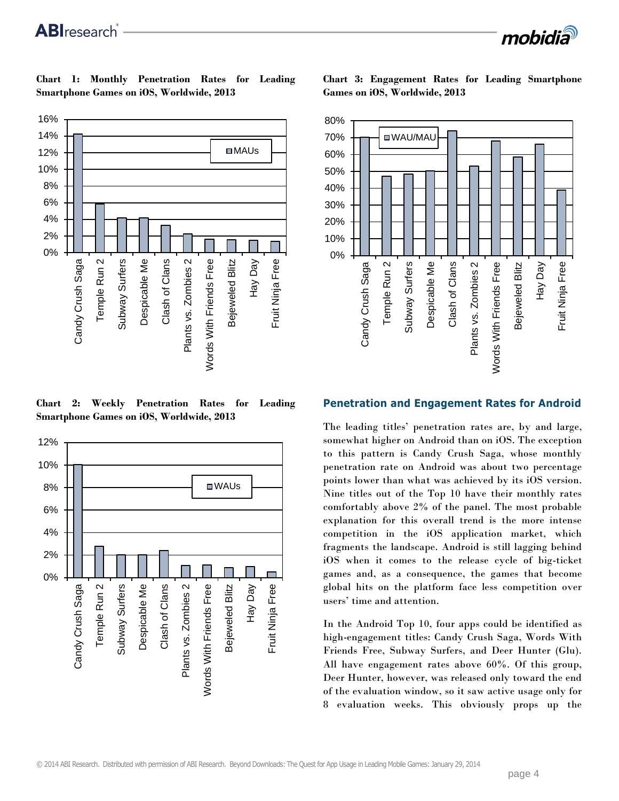





**Chart 2: Weekly Penetration Rates for Leading Smartphone Games on iOS, Worldwide, 2013**



**Chart 3: Engagement Rates for Leading Smartphone Games on iOS, Worldwide, 2013**



### **Penetration and Engagement Rates for Android**

The leading titles' penetration rates are, by and large, somewhat higher on Android than on iOS. The exception to this pattern is Candy Crush Saga, whose monthly penetration rate on Android was about two percentage points lower than what was achieved by its iOS version. Nine titles out of the Top 10 have their monthly rates comfortably above 2% of the panel. The most probable explanation for this overall trend is the more intense competition in the iOS application market, which fragments the landscape. Android is still lagging behind iOS when it comes to the release cycle of big-ticket games and, as a consequence, the games that become global hits on the platform face less competition over users' time and attention.

In the Android Top 10, four apps could be identified as high-engagement titles: Candy Crush Saga, Words With Friends Free, Subway Surfers, and Deer Hunter (Glu). All have engagement rates above 60%. Of this group, Deer Hunter, however, was released only toward the end of the evaluation window, so it saw active usage only for 8 evaluation weeks. This obviously props up the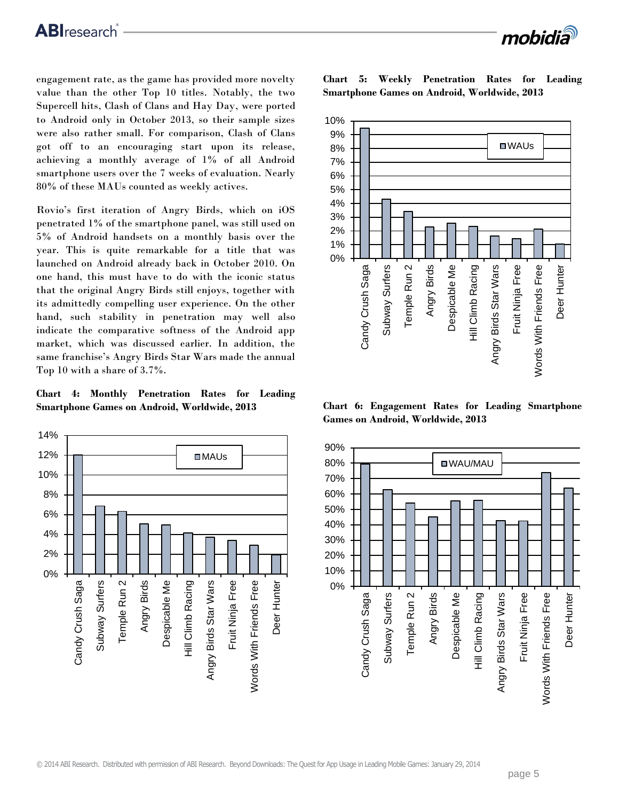# **ABI**research<sup>®</sup>

mobidia

engagement rate, as the game has provided more novelty value than the other Top 10 titles. Notably, the two Supercell hits, Clash of Clans and Hay Day, were ported to Android only in October 2013, so their sample sizes were also rather small. For comparison, Clash of Clans got off to an encouraging start upon its release, achieving a monthly average of 1% of all Android smartphone users over the 7 weeks of evaluation. Nearly 80% of these MAUs counted as weekly actives.

Rovio's first iteration of Angry Birds, which on iOS penetrated 1% of the smartphone panel, was still used on 5% of Android handsets on a monthly basis over the year. This is quite remarkable for a title that was launched on Android already back in October 2010. On one hand, this must have to do with the iconic status that the original Angry Birds still enjoys, together with its admittedly compelling user experience. On the other hand, such stability in penetration may well also indicate the comparative softness of the Android app market, which was discussed earlier. In addition, the same franchise's Angry Birds Star Wars made the annual Top 10 with a share of 3.7%.

**Chart 4: Monthly Penetration Rates for Leading Smartphone Games on Android, Worldwide, 2013**



**Chart 5: Weekly Penetration Rates for Leading Smartphone Games on Android, Worldwide, 2013**



**Chart 6: Engagement Rates for Leading Smartphone Games on Android, Worldwide, 2013**

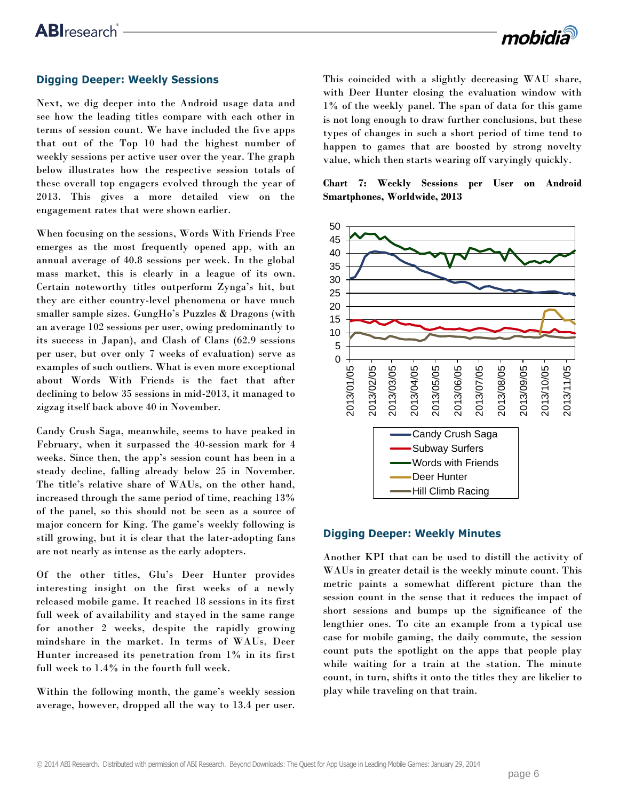

#### **Digging Deeper: Weekly Sessions**

Next, we dig deeper into the Android usage data and see how the leading titles compare with each other in terms of session count. We have included the five apps that out of the Top 10 had the highest number of weekly sessions per active user over the year. The graph below illustrates how the respective session totals of these overall top engagers evolved through the year of 2013. This gives a more detailed view on the engagement rates that were shown earlier.

When focusing on the sessions, Words With Friends Free emerges as the most frequently opened app, with an annual average of 40.8 sessions per week. In the global mass market, this is clearly in a league of its own. Certain noteworthy titles outperform Zynga's hit, but they are either country-level phenomena or have much smaller sample sizes. GungHo's Puzzles & Dragons (with an average 102 sessions per user, owing predominantly to its success in Japan), and Clash of Clans (62.9 sessions per user, but over only 7 weeks of evaluation) serve as examples of such outliers. What is even more exceptional about Words With Friends is the fact that after declining to below 35 sessions in mid-2013, it managed to zigzag itself back above 40 in November.

Candy Crush Saga, meanwhile, seems to have peaked in February, when it surpassed the 40-session mark for 4 weeks. Since then, the app's session count has been in a steady decline, falling already below 25 in November. The title's relative share of WAUs, on the other hand, increased through the same period of time, reaching 13% of the panel, so this should not be seen as a source of major concern for King. The game's weekly following is still growing, but it is clear that the later-adopting fans are not nearly as intense as the early adopters.

Of the other titles, Glu's Deer Hunter provides interesting insight on the first weeks of a newly released mobile game. It reached 18 sessions in its first full week of availability and stayed in the same range for another 2 weeks, despite the rapidly growing mindshare in the market. In terms of WAUs, Deer Hunter increased its penetration from 1% in its first full week to 1.4% in the fourth full week.

Within the following month, the game's weekly session average, however, dropped all the way to 13.4 per user.

This coincided with a slightly decreasing WAU share, with Deer Hunter closing the evaluation window with 1% of the weekly panel. The span of data for this game is not long enough to draw further conclusions, but these types of changes in such a short period of time tend to happen to games that are boosted by strong novelty value, which then starts wearing off varyingly quickly.

**Chart 7: Weekly Sessions per User on Android Smartphones, Worldwide, 2013**



#### **Digging Deeper: Weekly Minutes**

Another KPI that can be used to distill the activity of WAUs in greater detail is the weekly minute count. This metric paints a somewhat different picture than the session count in the sense that it reduces the impact of short sessions and bumps up the significance of the lengthier ones. To cite an example from a typical use case for mobile gaming, the daily commute, the session count puts the spotlight on the apps that people play while waiting for a train at the station. The minute count, in turn, shifts it onto the titles they are likelier to play while traveling on that train.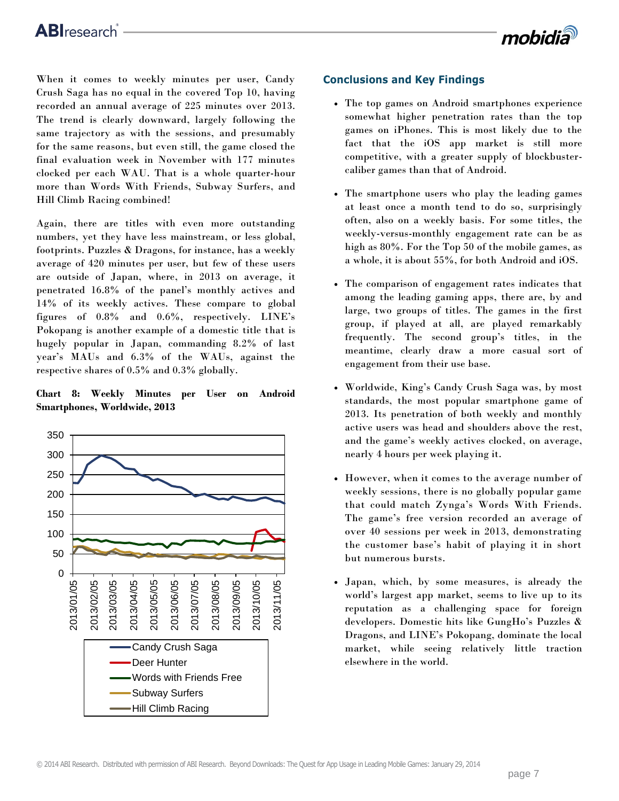# **ABI**research<sup>®</sup>

mobidia

When it comes to weekly minutes per user, Candy Crush Saga has no equal in the covered Top 10, having recorded an annual average of 225 minutes over 2013. The trend is clearly downward, largely following the same trajectory as with the sessions, and presumably for the same reasons, but even still, the game closed the final evaluation week in November with 177 minutes clocked per each WAU. That is a whole quarter-hour more than Words With Friends, Subway Surfers, and Hill Climb Racing combined!

Again, there are titles with even more outstanding numbers, yet they have less mainstream, or less global, footprints. Puzzles & Dragons, for instance, has a weekly average of 420 minutes per user, but few of these users are outside of Japan, where, in 2013 on average, it penetrated 16.8% of the panel's monthly actives and 14% of its weekly actives. These compare to global figures of 0.8% and 0.6%, respectively. LINE's Pokopang is another example of a domestic title that is hugely popular in Japan, commanding 8.2% of last year's MAUs and 6.3% of the WAUs, against the respective shares of 0.5% and 0.3% globally.

### **Chart 8: Weekly Minutes per User on Android Smartphones, Worldwide, 2013**



# **Conclusions and Key Findings**

- The top games on Android smartphones experience somewhat higher penetration rates than the top games on iPhones. This is most likely due to the fact that the iOS app market is still more competitive, with a greater supply of blockbustercaliber games than that of Android.
- The smartphone users who play the leading games at least once a month tend to do so, surprisingly often, also on a weekly basis. For some titles, the weekly-versus-monthly engagement rate can be as high as 80%. For the Top 50 of the mobile games, as a whole, it is about 55%, for both Android and iOS.
- The comparison of engagement rates indicates that among the leading gaming apps, there are, by and large, two groups of titles. The games in the first group, if played at all, are played remarkably frequently. The second group's titles, in the meantime, clearly draw a more casual sort of engagement from their use base.
- Worldwide, King's Candy Crush Saga was, by most standards, the most popular smartphone game of 2013. Its penetration of both weekly and monthly active users was head and shoulders above the rest, and the game's weekly actives clocked, on average, nearly 4 hours per week playing it.
- However, when it comes to the average number of weekly sessions, there is no globally popular game that could match Zynga's Words With Friends. The game's free version recorded an average of over 40 sessions per week in 2013, demonstrating the customer base's habit of playing it in short but numerous bursts.
- Japan, which, by some measures, is already the world's largest app market, seems to live up to its reputation as a challenging space for foreign developers. Domestic hits like GungHo's Puzzles & Dragons, and LINE's Pokopang, dominate the local market, while seeing relatively little traction elsewhere in the world.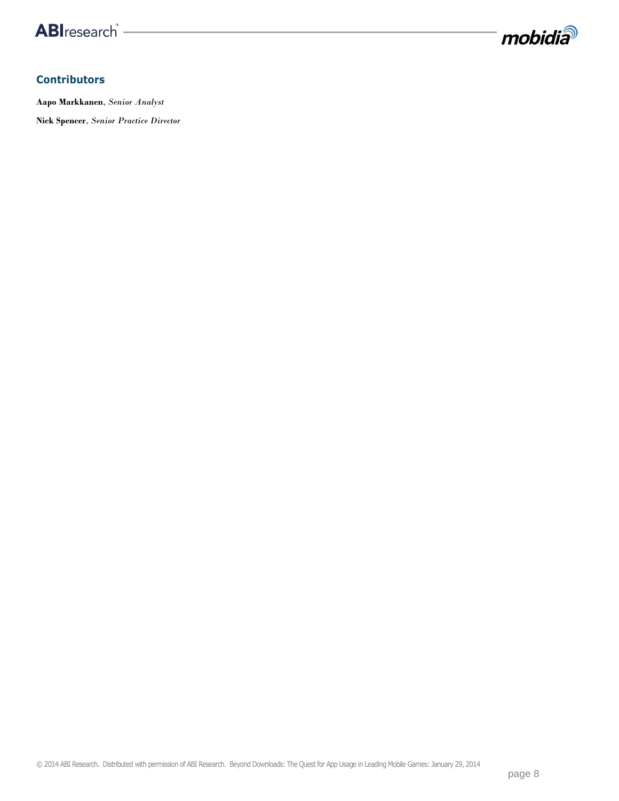



# **Contributors**

**Aapo Markkanen**, *Senior Analyst*

**Nick Spencer**, *Senior Practice Director*